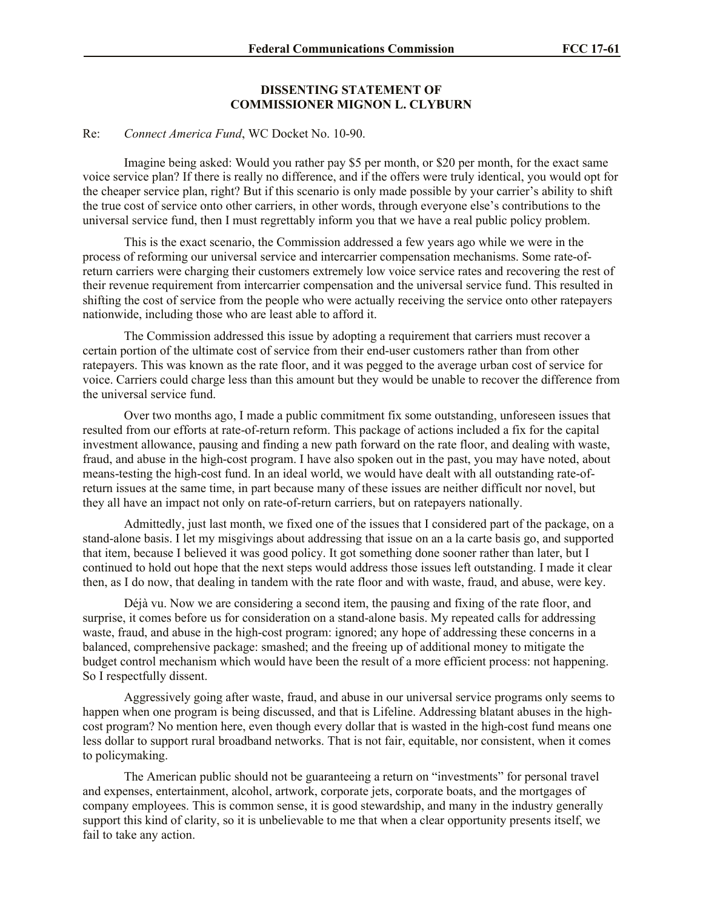## **DISSENTING STATEMENT OF COMMISSIONER MIGNON L. CLYBURN**

## Re: *Connect America Fund*, WC Docket No. 10-90.

Imagine being asked: Would you rather pay \$5 per month, or \$20 per month, for the exact same voice service plan? If there is really no difference, and if the offers were truly identical, you would opt for the cheaper service plan, right? But if this scenario is only made possible by your carrier's ability to shift the true cost of service onto other carriers, in other words, through everyone else's contributions to the universal service fund, then I must regrettably inform you that we have a real public policy problem.

This is the exact scenario, the Commission addressed a few years ago while we were in the process of reforming our universal service and intercarrier compensation mechanisms. Some rate-ofreturn carriers were charging their customers extremely low voice service rates and recovering the rest of their revenue requirement from intercarrier compensation and the universal service fund. This resulted in shifting the cost of service from the people who were actually receiving the service onto other ratepayers nationwide, including those who are least able to afford it.

The Commission addressed this issue by adopting a requirement that carriers must recover a certain portion of the ultimate cost of service from their end-user customers rather than from other ratepayers. This was known as the rate floor, and it was pegged to the average urban cost of service for voice. Carriers could charge less than this amount but they would be unable to recover the difference from the universal service fund.

Over two months ago, I made a public commitment fix some outstanding, unforeseen issues that resulted from our efforts at rate-of-return reform. This package of actions included a fix for the capital investment allowance, pausing and finding a new path forward on the rate floor, and dealing with waste, fraud, and abuse in the high-cost program. I have also spoken out in the past, you may have noted, about means-testing the high-cost fund. In an ideal world, we would have dealt with all outstanding rate-ofreturn issues at the same time, in part because many of these issues are neither difficult nor novel, but they all have an impact not only on rate-of-return carriers, but on ratepayers nationally.

Admittedly, just last month, we fixed one of the issues that I considered part of the package, on a stand-alone basis. I let my misgivings about addressing that issue on an a la carte basis go, and supported that item, because I believed it was good policy. It got something done sooner rather than later, but I continued to hold out hope that the next steps would address those issues left outstanding. I made it clear then, as I do now, that dealing in tandem with the rate floor and with waste, fraud, and abuse, were key.

Déjà vu. Now we are considering a second item, the pausing and fixing of the rate floor, and surprise, it comes before us for consideration on a stand-alone basis. My repeated calls for addressing waste, fraud, and abuse in the high-cost program: ignored; any hope of addressing these concerns in a balanced, comprehensive package: smashed; and the freeing up of additional money to mitigate the budget control mechanism which would have been the result of a more efficient process: not happening. So I respectfully dissent.

Aggressively going after waste, fraud, and abuse in our universal service programs only seems to happen when one program is being discussed, and that is Lifeline. Addressing blatant abuses in the highcost program? No mention here, even though every dollar that is wasted in the high-cost fund means one less dollar to support rural broadband networks. That is not fair, equitable, nor consistent, when it comes to policymaking.

The American public should not be guaranteeing a return on "investments" for personal travel and expenses, entertainment, alcohol, artwork, corporate jets, corporate boats, and the mortgages of company employees. This is common sense, it is good stewardship, and many in the industry generally support this kind of clarity, so it is unbelievable to me that when a clear opportunity presents itself, we fail to take any action.